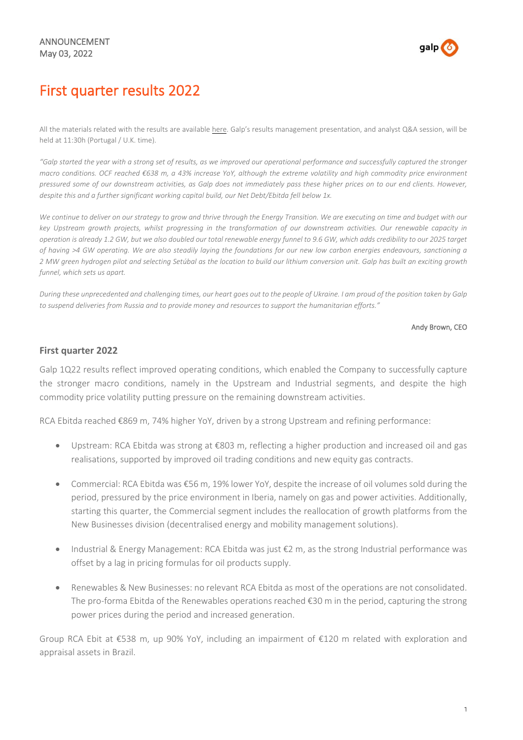

# First quarter results 2022

All the materials related with the results are available [here.](https://www.galp.com/corp/en/investors/publications-and-announcements/reports-and-results/results) Galp's results management presentation, and analyst Q&A session, will be held at 11:30h (Portugal / U.K. time).

"Galp started the year with a strong set of results, as we improved our operational performance and successfully captured the stronger macro conditions. OCF reached €638 m, a 43% increase YoY, although the extreme volatility and high commodity price environment pressured some of our downstream activities, as Galp does not immediately pass these higher prices on to our end clients. However, *despite this and a further significant working capital build, our Net Debt/Ebitda fell below 1x.*

We continue to deliver on our strategy to grow and thrive through the Energy Transition. We are executing on time and budget with our key Upstream growth projects, whilst progressing in the transformation of our downstream activities. Our renewable capacity in operation is already 1.2 GW, but we also doubled our total renewable energy funnel to 9.6 GW, which adds credibility to our 2025 target of having >4 GW operating. We are also steadily laying the foundations for our new low carbon energies endeavours, sanctioning a 2 MW green hydrogen pilot and selecting Setúbal as the location to build our lithium conversion unit. Galp has built an exciting growth *funnel, which sets us apart.*

During these unprecedented and challenging times, our heart goes out to the people of Ukraine. I am proud of the position taken by Galp to suspend deliveries from Russia and to provide money and resources to support the humanitarian efforts."

#### Andy Brown, CEO

#### **First quarter 2022**

Galp 1Q22 results reflect improved operating conditions, which enabled the Company to successfully capture the stronger macro conditions, namely in the Upstream and Industrial segments, and despite the high commodity price volatility putting pressure on the remaining downstream activities.

RCA Ebitda reached €869 m, 74% higher YoY, driven by a strong Upstream and refining performance:

- Upstream: RCA Ebitda was strong at €803 m, reflecting a higher production and increased oil and gas realisations, supported by improved oil trading conditions and new equity gas contracts.
- Commercial: RCA Ebitda was €56 m, 19% lower YoY, despite the increase of oil volumes sold during the period, pressured by the price environment in Iberia, namely on gas and power activities. Additionally, starting this quarter, the Commercial segment includes the reallocation of growth platforms from the New Businesses division (decentralised energy and mobility management solutions).
- Industrial & Energy Management: RCA Ebitda was just €2 m, as the strong Industrial performance was offset by a lag in pricing formulas for oil products supply.
- Renewables & New Businesses: no relevant RCA Ebitda as most of the operations are not consolidated. The pro-forma Ebitda of the Renewables operations reached €30 m in the period, capturing the strong power prices during the period and increased generation.

Group RCA Ebit at €538 m, up 90% YoY, including an impairment of €120 m related with exploration and appraisal assets in Brazil.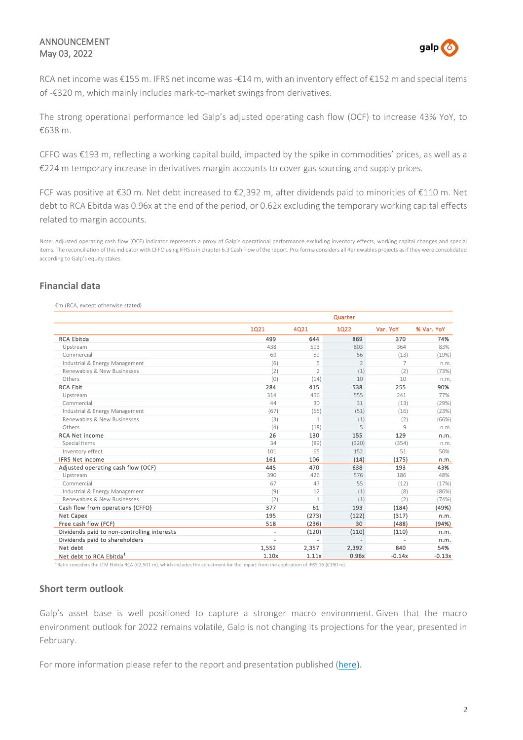# ANNOUNCEMENT May 03, 2022



RCA net income was €155 m. IFRS net income was -€14 m, with an inventory effect of €152 m and special items of -€320 m, which mainly includes mark-to-market swings from derivatives.

The strong operational performance led Galp's adjusted operating cash flow (OCF) to increase 43% YoY, to €638 m.

CFFO was €193 m, reflecting a working capital build, impacted by the spike in commodities' prices, as well as a €224 m temporary increase in derivatives margin accounts to cover gas sourcing and supply prices.

FCF was positive at €30 m. Net debt increased to €2,392 m, after dividends paid to minorities of €110 m. Net debt to RCA Ebitda was 0.96x at the end of the period, or 0.62x excluding the temporary working capital effects related to margin accounts.

Note: Adjusted operating cash flow (OCF) indicator represents a proxy of Galp's operational performance excluding inventory effects, working capital changes and special items. The reconciliation of thisindicator with CFFO using IFRS isin chapter 6.3 Cash Flow of the report. Pro-forma considers all Renewables projects asif they were consolidated according to Galp's equity stakes.

# **Financial data**

€m (RCA, except otherwise stated)

|                                             |                | Quarter        |                          |                |            |  |
|---------------------------------------------|----------------|----------------|--------------------------|----------------|------------|--|
|                                             | 1021           | 4Q21           | 1Q22                     | Var. YoY       | % Var. YoY |  |
| <b>RCA Ebitda</b>                           | 499            | 644            | 869                      | 370            | 74%        |  |
| Upstream                                    | 438            | 593            | 803                      | 364            | 83%        |  |
| Commercial                                  | 69             | 59             | 56                       | (13)           | (19%)      |  |
| Industrial & Energy Management              | (6)            | 5              | $\mathcal{P}$            | $\overline{7}$ | n.m.       |  |
| Renewables & New Businesses                 | (2)            | $\mathfrak{D}$ | (1)                      | (2)            | (73%)      |  |
| Others                                      | (0)            | (14)           | 10                       | 10             | n.m.       |  |
| <b>RCA Ebit</b>                             | 284            | 415            | 538                      | 255            | 90%        |  |
| Upstream                                    | 314            | 456            | 555                      | 241            | 77%        |  |
| Commercial                                  | 44             | 30             | 31                       | (13)           | (29%)      |  |
| Industrial & Energy Management              | (67)           | (55)           | (51)                     | (16)           | (23%)      |  |
| Renewables & New Businesses                 | (3)            | $\mathbf{1}$   | (1)                      | (2)            | (66%)      |  |
| Others                                      | (4)            | (18)           | 5                        | 9              | n.m.       |  |
| <b>RCA Net income</b>                       | 26             | 130            | 155                      | 129            | n.m.       |  |
| Special items                               | 34             | (89)           | (320)                    | (354)          | n.m.       |  |
| Inventory effect                            | 101            | 65             | 152                      | 51             | 50%        |  |
| <b>IFRS Net income</b>                      | 161            | 106            | (14)                     | (175)          | n.m.       |  |
| Adjusted operating cash flow (OCF)          | 445            | 470            | 638                      | 193            | 43%        |  |
| Upstream                                    | 390            | 426            | 576                      | 186            | 48%        |  |
| Commercial                                  | 67             | 47             | 55                       | (12)           | (17%)      |  |
| Industrial & Energy Management              | (9)            | 12             | (1)                      | (8)            | (86%)      |  |
| Renewables & New Businesses                 | (2)            | $\mathbf{1}$   | (1)                      | (2)            | (74%)      |  |
| Cash flow from operations (CFFO)            | 377            | 61             | 193                      | (184)          | (49%)      |  |
| Net Capex                                   | 195            | (273)          | (122)                    | (317)          | n.m.       |  |
| Free cash flow (FCF)                        | 518            | (236)          | 30                       | (488)          | (94%)      |  |
| Dividends paid to non-controlling interests | $\overline{a}$ | (120)          | (110)                    | (110)          | n.m.       |  |
| Dividends paid to shareholders              | ÷.             | $\overline{a}$ | $\overline{\phantom{a}}$ |                | n.m.       |  |
| Net debt                                    | 1,552          | 2,357          | 2,392                    | 840            | 54%        |  |
| Net debt to RCA Ebitda <sup>1</sup>         | 1.10x          | 1.11x          | 0.96x                    | $-0.14x$       | $-0.13x$   |  |

<sup>1</sup>Ratio considers the LTM Ebitda RCA (€2,501 m), which includes the adjustment for the impact from the application of IFRS 16 (€190 m).

### **Short term outlook**

Galp's asset base is well positioned to capture a stronger macro environment. Given that the macro environment outlook for 2022 remains volatile, Galp is not changing its projections for the year, presented in February.

For more information please refer to the report and presentation published [\(here](https://eur02.safelinks.protection.outlook.com/?url=https%3A%2F%2Fwww.galp.com%2Fcorp%2Fen%2Finvestors%2Fpublications-and-announcements%2Freports-and-results%2Fresults&data=05%7C01%7Ccesar.teixeira%40galp.com%7C5d67087633d04eab5a5f08da2c53694a%7Cb9418667dc3e4da98081b0750534a347%7C0%7C0%7C637871033995331429%7CUnknown%7CTWFpbGZsb3d8eyJWIjoiMC4wLjAwMDAiLCJQIjoiV2luMzIiLCJBTiI6Ik1haWwiLCJXVCI6Mn0%3D%7C3000%7C%7C%7C&sdata=LrrMhNWicrbFR9WWonfkRGffaxUvSsazvWqCblXPTB4%3D&reserved=0)).